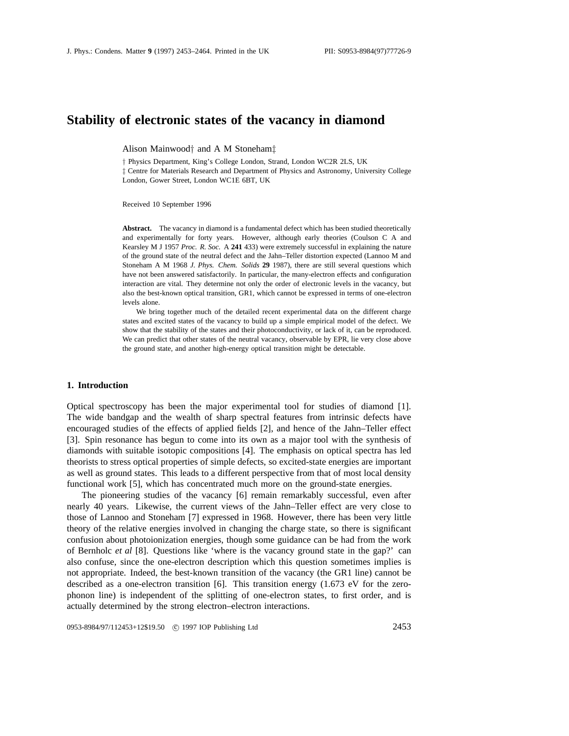# **Stability of electronic states of the vacancy in diamond**

Alison Mainwood*†* and A M Stoneham*‡*

*†* Physics Department, King's College London, Strand, London WC2R 2LS, UK *‡* Centre for Materials Research and Department of Physics and Astronomy, University College London, Gower Street, London WC1E 6BT, UK

Received 10 September 1996

**Abstract.** The vacancy in diamond is a fundamental defect which has been studied theoretically and experimentally for forty years. However, although early theories (Coulson C A and Kearsley M J 1957 *Proc. R. Soc.* A **241** 433) were extremely successful in explaining the nature of the ground state of the neutral defect and the Jahn–Teller distortion expected (Lannoo M and Stoneham A M 1968 *J. Phys. Chem. Solids* **29** 1987), there are still several questions which have not been answered satisfactorily. In particular, the many-electron effects and configuration interaction are vital. They determine not only the order of electronic levels in the vacancy, but also the best-known optical transition, GR1, which cannot be expressed in terms of one-electron levels alone.

We bring together much of the detailed recent experimental data on the different charge states and excited states of the vacancy to build up a simple empirical model of the defect. We show that the stability of the states and their photoconductivity, or lack of it, can be reproduced. We can predict that other states of the neutral vacancy, observable by EPR, lie very close above the ground state, and another high-energy optical transition might be detectable.

### **1. Introduction**

Optical spectroscopy has been the major experimental tool for studies of diamond [1]. The wide bandgap and the wealth of sharp spectral features from intrinsic defects have encouraged studies of the effects of applied fields [2], and hence of the Jahn–Teller effect [3]. Spin resonance has begun to come into its own as a major tool with the synthesis of diamonds with suitable isotopic compositions [4]. The emphasis on optical spectra has led theorists to stress optical properties of simple defects, so excited-state energies are important as well as ground states. This leads to a different perspective from that of most local density functional work [5], which has concentrated much more on the ground-state energies.

The pioneering studies of the vacancy [6] remain remarkably successful, even after nearly 40 years. Likewise, the current views of the Jahn–Teller effect are very close to those of Lannoo and Stoneham [7] expressed in 1968. However, there has been very little theory of the relative energies involved in changing the charge state, so there is significant confusion about photoionization energies, though some guidance can be had from the work of Bernholc *et al* [8]. Questions like 'where is the vacancy ground state in the gap?' can also confuse, since the one-electron description which this question sometimes implies is not appropriate. Indeed, the best-known transition of the vacancy (the GR1 line) cannot be described as a one-electron transition [6]. This transition energy  $(1.673 \text{ eV}$  for the zerophonon line) is independent of the splitting of one-electron states, to first order, and is actually determined by the strong electron–electron interactions.

0953-8984/97/112453+12\$19.50 © 1997 IOP Publishing Ltd 2453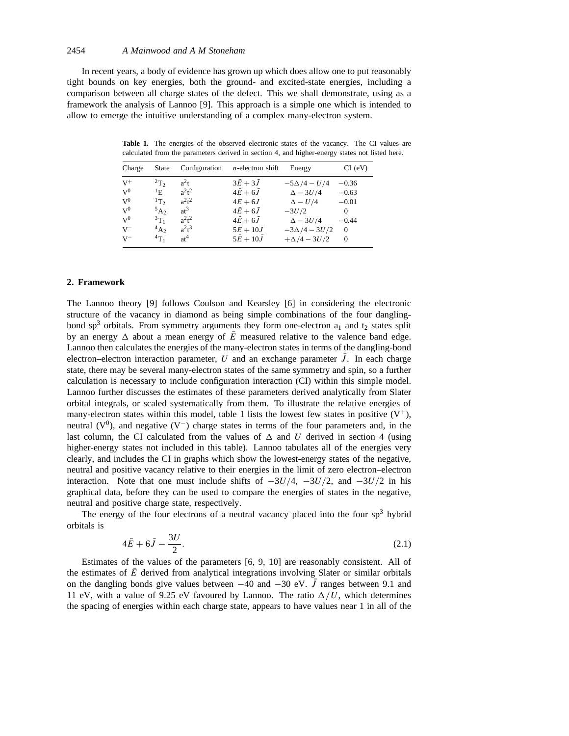In recent years, a body of evidence has grown up which does allow one to put reasonably tight bounds on key energies, both the ground- and excited-state energies, including a comparison between all charge states of the defect. This we shall demonstrate, using as a framework the analysis of Lannoo [9]. This approach is a simple one which is intended to allow to emerge the intuitive understanding of a complex many-electron system.

Table 1. The energies of the observed electronic states of the vacancy. The CI values are calculated from the parameters derived in section 4, and higher-energy states not listed here.

| Charge    | <b>State</b> |          | Configuration $n$ -electron shift | Energy              | CI (eV)      |
|-----------|--------------|----------|-----------------------------------|---------------------|--------------|
| $V^+$     | $^{2}T_{2}$  | $a^2t$   | $3\bar{E}+3\bar{J}$               | $-5\Delta/4 - U/4$  | $-0.36$      |
| $V^0$     | $\rm ^1E$    | $a^2t^2$ | $4E+6J$                           | $\Delta - 3U/4$     | $-0.63$      |
| $V^0$     | $1T_2$       | $a^2t^2$ | $4\bar{E}+6J$                     | $\Delta - U/4$      | $-0.01$      |
| $V^0$     | $5A_2$       | $at^3$   | $4E+6J$                           | $-3U/2$             | $\Omega$     |
| $\rm V^0$ | $3T_1$       | $a^2t^2$ | $4E+6J$                           | $\Delta - 3U/4$     | $-0.44$      |
| $V^-$     | $^{4}A_{2}$  | $a^2t^3$ | $5E + 10J$                        | $-3\Delta/4 - 3U/2$ | $\mathbf{0}$ |
| $V^-$     | $^{4}T_1$    | $at^4$   | $5E + 10J$                        | $+\Delta/4 - 3U/2$  | $\Omega$     |

# **2. Framework**

The Lannoo theory [9] follows Coulson and Kearsley [6] in considering the electronic structure of the vacancy in diamond as being simple combinations of the four danglingbond  $sp<sup>3</sup>$  orbitals. From symmetry arguments they form one-electron  $a<sub>1</sub>$  and  $t<sub>2</sub>$  states split by an energy  $\Delta$  about a mean energy of  $\overline{E}$  measured relative to the valence band edge. Lannoo then calculates the energies of the many-electron states in terms of the dangling-bond electron–electron interaction parameter, *U* and an exchange parameter  $\bar{J}$ . In each charge state, there may be several many-electron states of the same symmetry and spin, so a further calculation is necessary to include configuration interaction (CI) within this simple model. Lannoo further discusses the estimates of these parameters derived analytically from Slater orbital integrals, or scaled systematically from them. To illustrate the relative energies of many-electron states within this model, table 1 lists the lowest few states in positive  $(V^+)$ , neutral  $(V^0)$ , and negative  $(V^-)$  charge states in terms of the four parameters and, in the last column, the CI calculated from the values of  $\Delta$  and U derived in section 4 (using higher-energy states not included in this table). Lannoo tabulates all of the energies very clearly, and includes the CI in graphs which show the lowest-energy states of the negative, neutral and positive vacancy relative to their energies in the limit of zero electron–electron interaction. Note that one must include shifts of −3*U/*4, −3*U/*2, and −3*U/*2 in his graphical data, before they can be used to compare the energies of states in the negative, neutral and positive charge state, respectively.

The energy of the four electrons of a neutral vacancy placed into the four  $sp<sup>3</sup>$  hybrid orbitals is

$$
4\bar{E} + 6\bar{J} - \frac{3U}{2}.\tag{2.1}
$$

Estimates of the values of the parameters [6, 9, 10] are reasonably consistent. All of the estimates of  $\overline{E}$  derived from analytical integrations involving Slater or similar orbitals on the dangling bonds give values between  $-40$  and  $-30$  eV.  $\overline{J}$  ranges between 9.1 and 11 eV, with a value of 9.25 eV favoured by Lannoo. The ratio  $\Delta/U$ , which determines the spacing of energies within each charge state, appears to have values near 1 in all of the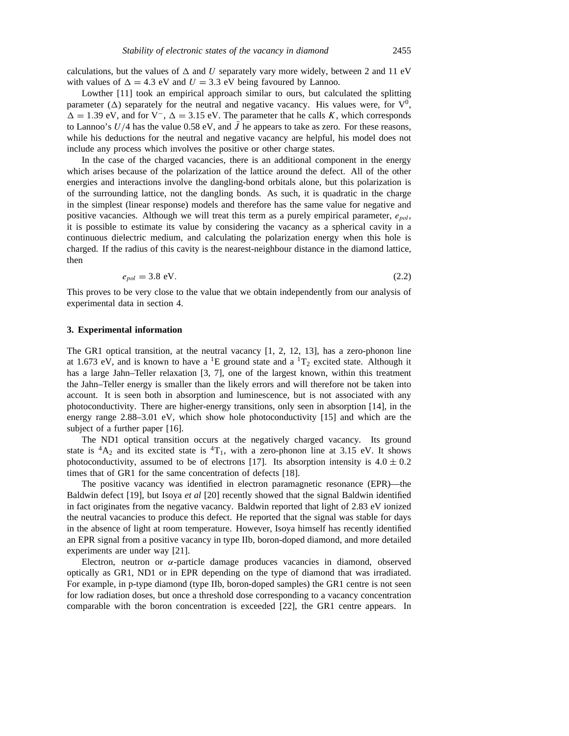calculations, but the values of  $\Delta$  and  $U$  separately vary more widely, between 2 and 11 eV with values of  $\Delta = 4.3$  eV and  $U = 3.3$  eV being favoured by Lannoo.

Lowther [11] took an empirical approach similar to ours, but calculated the splitting parameter  $(\Delta)$  separately for the neutral and negative vacancy. His values were, for  $V^0$ ,  $\Delta = 1.39$  eV, and for V<sup>-</sup>,  $\Delta = 3.15$  eV. The parameter that he calls *K*, which corresponds to Lannoo's  $U/4$  has the value 0.58 eV, and  $\bar{J}$  he appears to take as zero. For these reasons, while his deductions for the neutral and negative vacancy are helpful, his model does not include any process which involves the positive or other charge states.

In the case of the charged vacancies, there is an additional component in the energy which arises because of the polarization of the lattice around the defect. All of the other energies and interactions involve the dangling-bond orbitals alone, but this polarization is of the surrounding lattice, not the dangling bonds. As such, it is quadratic in the charge in the simplest (linear response) models and therefore has the same value for negative and positive vacancies. Although we will treat this term as a purely empirical parameter, *epol*, it is possible to estimate its value by considering the vacancy as a spherical cavity in a continuous dielectric medium, and calculating the polarization energy when this hole is charged. If the radius of this cavity is the nearest-neighbour distance in the diamond lattice, then

$$
e_{pol} = 3.8 \text{ eV.} \tag{2.2}
$$

This proves to be very close to the value that we obtain independently from our analysis of experimental data in section 4.

#### **3. Experimental information**

The GR1 optical transition, at the neutral vacancy [1, 2, 12, 13], has a zero-phonon line at 1.673 eV, and is known to have a <sup>1</sup>E ground state and a  ${}^{1}T_{2}$  excited state. Although it has a large Jahn–Teller relaxation [3, 7], one of the largest known, within this treatment the Jahn–Teller energy is smaller than the likely errors and will therefore not be taken into account. It is seen both in absorption and luminescence, but is not associated with any photoconductivity. There are higher-energy transitions, only seen in absorption [14], in the energy range 2.88–3.01 eV, which show hole photoconductivity [15] and which are the subject of a further paper [16].

The ND1 optical transition occurs at the negatively charged vacancy. Its ground state is  ${}^4A_2$  and its excited state is  ${}^4T_1$ , with a zero-phonon line at 3.15 eV. It shows photoconductivity, assumed to be of electrons [17]. Its absorption intensity is  $4.0 \pm 0.2$ times that of GR1 for the same concentration of defects [18].

The positive vacancy was identified in electron paramagnetic resonance (EPR)—the Baldwin defect [19], but Isoya *et al* [20] recently showed that the signal Baldwin identified in fact originates from the negative vacancy. Baldwin reported that light of 2.83 eV ionized the neutral vacancies to produce this defect. He reported that the signal was stable for days in the absence of light at room temperature. However, Isoya himself has recently identified an EPR signal from a positive vacancy in type IIb, boron-doped diamond, and more detailed experiments are under way [21].

Electron, neutron or *α*-particle damage produces vacancies in diamond, observed optically as GR1, ND1 or in EPR depending on the type of diamond that was irradiated. For example, in p-type diamond (type IIb, boron-doped samples) the GR1 centre is not seen for low radiation doses, but once a threshold dose corresponding to a vacancy concentration comparable with the boron concentration is exceeded [22], the GR1 centre appears. In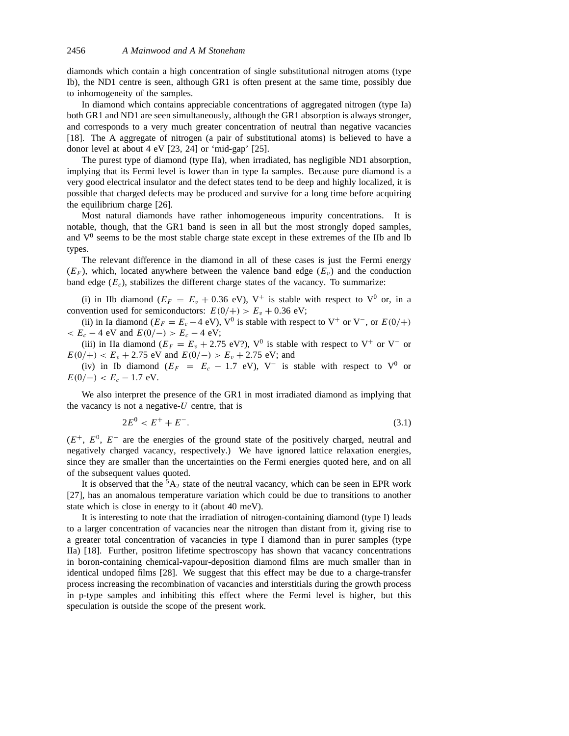diamonds which contain a high concentration of single substitutional nitrogen atoms (type Ib), the ND1 centre is seen, although GR1 is often present at the same time, possibly due to inhomogeneity of the samples.

In diamond which contains appreciable concentrations of aggregated nitrogen (type Ia) both GR1 and ND1 are seen simultaneously, although the GR1 absorption is always stronger, and corresponds to a very much greater concentration of neutral than negative vacancies [18]. The A aggregate of nitrogen (a pair of substitutional atoms) is believed to have a donor level at about 4 eV [23, 24] or 'mid-gap' [25].

The purest type of diamond (type IIa), when irradiated, has negligible ND1 absorption, implying that its Fermi level is lower than in type Ia samples. Because pure diamond is a very good electrical insulator and the defect states tend to be deep and highly localized, it is possible that charged defects may be produced and survive for a long time before acquiring the equilibrium charge [26].

Most natural diamonds have rather inhomogeneous impurity concentrations. It is notable, though, that the GR1 band is seen in all but the most strongly doped samples, and  $V^0$  seems to be the most stable charge state except in these extremes of the IIb and Ib types.

The relevant difference in the diamond in all of these cases is just the Fermi energy  $(E_F)$ , which, located anywhere between the valence band edge  $(E_v)$  and the conduction band edge  $(E<sub>c</sub>)$ , stabilizes the different charge states of the vacancy. To summarize:

(i) in IIb diamond ( $E_F = E_v + 0.36$  eV), V<sup>+</sup> is stable with respect to V<sup>0</sup> or, in a convention used for semiconductors:  $E(0/+) > E_v + 0.36$  eV;

(ii) in Ia diamond ( $E_F = E_c - 4$  eV), V<sup>0</sup> is stable with respect to V<sup>+</sup> or V<sup>-</sup>, or  $E(0/+)$  $E_c - 4$  eV and  $E(0/-) > E_c - 4$  eV;

(iii) in IIa diamond ( $E_F = E_v + 2.75$  eV?), V<sup>0</sup> is stable with respect to V<sup>+</sup> or V<sup>−</sup> or  $E(0/+) < E_v + 2.75$  eV and  $E(0/-) > E_v + 2.75$  eV; and

(iv) in Ib diamond ( $E_F = E_c - 1.7$  eV), V<sup>-</sup> is stable with respect to V<sup>0</sup> or  $E(0/-) < E_c - 1.7$  eV.

We also interpret the presence of the GR1 in most irradiated diamond as implying that the vacancy is not a negative-*U* centre, that is

$$
2E^0 < E^+ + E^- \tag{3.1}
$$

(*E*+, *E*0, *E*<sup>−</sup> are the energies of the ground state of the positively charged, neutral and negatively charged vacancy, respectively.) We have ignored lattice relaxation energies, since they are smaller than the uncertainties on the Fermi energies quoted here, and on all of the subsequent values quoted.

It is observed that the  ${}^5A_2$  state of the neutral vacancy, which can be seen in EPR work [27], has an anomalous temperature variation which could be due to transitions to another state which is close in energy to it (about 40 meV).

It is interesting to note that the irradiation of nitrogen-containing diamond (type I) leads to a larger concentration of vacancies near the nitrogen than distant from it, giving rise to a greater total concentration of vacancies in type I diamond than in purer samples (type IIa) [18]. Further, positron lifetime spectroscopy has shown that vacancy concentrations in boron-containing chemical-vapour-deposition diamond films are much smaller than in identical undoped films [28]. We suggest that this effect may be due to a charge-transfer process increasing the recombination of vacancies and interstitials during the growth process in p-type samples and inhibiting this effect where the Fermi level is higher, but this speculation is outside the scope of the present work.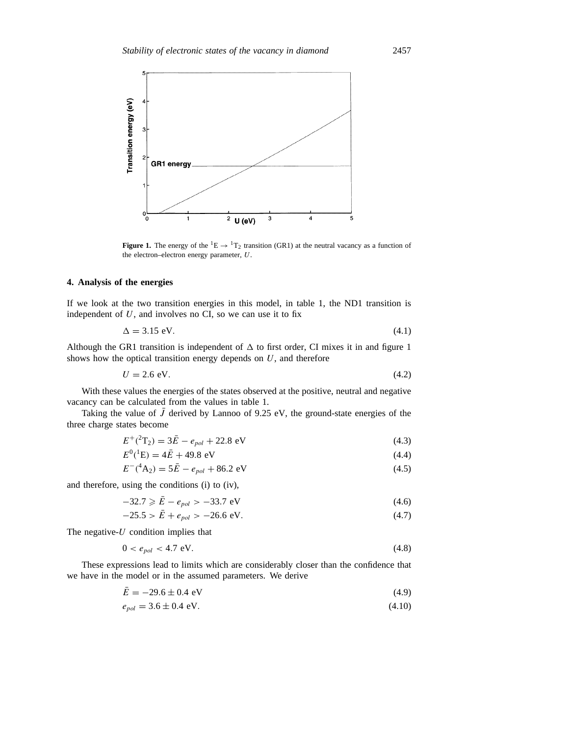

**Figure 1.** The energy of the  ${}^{1}E \rightarrow {}^{1}T_{2}$  transition (GR1) at the neutral vacancy as a function of the electron–electron energy parameter, *U*.

# **4. Analysis of the energies**

If we look at the two transition energies in this model, in table 1, the ND1 transition is independent of *U*, and involves no CI, so we can use it to fix

$$
\Delta = 3.15 \text{ eV}.\tag{4.1}
$$

Although the GR1 transition is independent of  $\Delta$  to first order, CI mixes it in and figure 1 shows how the optical transition energy depends on *U*, and therefore

$$
U = 2.6 \text{ eV}.\tag{4.2}
$$

With these values the energies of the states observed at the positive, neutral and negative vacancy can be calculated from the values in table 1.

Taking the value of  $\bar{J}$  derived by Lannoo of 9.25 eV, the ground-state energies of the three charge states become

$$
E^{+}({}^{2}T_{2}) = 3\bar{E} - e_{pol} + 22.8 \text{ eV}
$$
 (4.3)

$$
E^{0}({}^{1}\mathbf{E}) = 4\bar{E} + 49.8 \text{ eV}
$$
 (4.4)

$$
E^{-}(^{4}A_{2}) = 5\bar{E} - e_{pol} + 86.2 \text{ eV}
$$
 (4.5)

and therefore, using the conditions (i) to (iv),

$$
-32.7 \ge \bar{E} - e_{pol} > -33.7 \text{ eV}
$$
 (4.6)

$$
-25.5 > \bar{E} + e_{pol} > -26.6 \text{ eV}.
$$
 (4.7)

The negative-*U* condition implies that

$$
0 < e_{pol} < 4.7 \text{ eV}.\tag{4.8}
$$

These expressions lead to limits which are considerably closer than the confidence that we have in the model or in the assumed parameters. We derive

$$
\bar{E} = -29.6 \pm 0.4 \text{ eV} \tag{4.9}
$$

$$
e_{pol} = 3.6 \pm 0.4 \text{ eV}.
$$
 (4.10)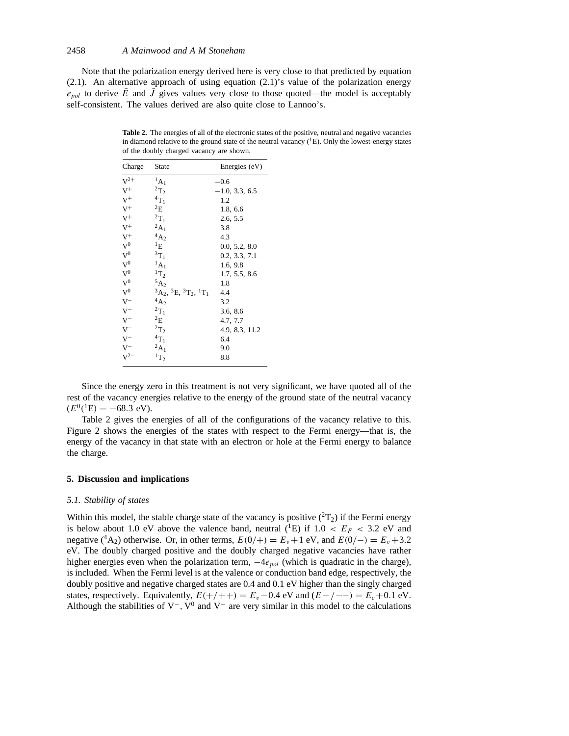Note that the polarization energy derived here is very close to that predicted by equation (2.1). An alternative approach of using equation (2.1)'s value of the polarization energy  $e_{pol}$  to derive  $\overline{E}$  and  $\overline{J}$  gives values very close to those quoted—the model is acceptably self-consistent. The values derived are also quite close to Lannoo's.

| Charge         | State                              | Energies (eV)    |
|----------------|------------------------------------|------------------|
| $V^{2+}$       | ${}^1A_1$                          | $-0.6$           |
| $V^+$          | $\mathrm{^{2}T_{2}}$               | $-1.0, 3.3, 6.5$ |
| $\mathbf{V}^+$ | ${}^4T_1$                          | 1.2              |
| $V^+$          | $^{2}E$                            | 1.8, 6.6         |
| $V^+$          | $^2\mathrm{T}_1$                   | 2.6, 5.5         |
| $V^+$          | ${}^2A_1$                          | 3.8              |
| $V^+$          | ${}^4\mathrm{A}_2$                 | 4.3              |
| ${\rm V}^0$    | $^1\rm{E}$                         | 0.0, 5.2, 8.0    |
| ${\rm V}^0$    | ${}^{3}T_1$                        | 0.2, 3.3, 7.1    |
| $V^0$          | ${}^1A_1$                          | 1.6, 9.8         |
| ${\rm V}^0$    | $\rm ^1T_2$                        | 1.7, 5.5, 8.6    |
| ${\rm V}^0$    | $^5\mathrm{A}_2$                   | 1.8              |
| ${\rm V}^0$    | ${}^3A_2, {}^3E, {}^3T_2, {}^1T_1$ | 4.4              |
| $\rm V^-$      | $^{4}A_{2}$                        | 3.2              |
| $V^-$          | $^2\mathrm{T}_1$                   | 3.6, 8.6         |
| $V^-$          | $^{2}E$                            | 4.7, 7.7         |
| $V^-$          | $^2\mathrm{T}_2$                   | 4.9, 8.3, 11.2   |
| $V^-$          | $^4{\rm T}_1$                      | 6.4              |
| $\rm V^-$      | $^2\mathrm{A}_1$                   | 9.0              |
| $V^{2-}$       | $\rm ^1T_2$                        | 8.8              |
|                |                                    |                  |

Table 2. The energies of all of the electronic states of the positive, neutral and negative vacancies in diamond relative to the ground state of the neutral vacancy  $({}^{1}E)$ . Only the lowest-energy states of the doubly charged vacancy are shown.

Since the energy zero in this treatment is not very significant, we have quoted all of the rest of the vacancy energies relative to the energy of the ground state of the neutral vacancy  $(E^0(^1E) = -68.3$  eV).

Table 2 gives the energies of all of the configurations of the vacancy relative to this. Figure 2 shows the energies of the states with respect to the Fermi energy—that is, the energy of the vacancy in that state with an electron or hole at the Fermi energy to balance the charge.

### **5. Discussion and implications**

#### *5.1. Stability of states*

Within this model, the stable charge state of the vacancy is positive  $({}^{2}T_{2})$  if the Fermi energy is below about 1.0 eV above the valence band, neutral  $({}^{1}E)$  if 1.0  $\lt E_F \lt 3.2$  eV and negative (<sup>4</sup>A<sub>2</sub>) otherwise. Or, in other terms,  $E(0/+) = E_v + 1$  eV, and  $E(0/-) = E_v + 3.2$ eV. The doubly charged positive and the doubly charged negative vacancies have rather higher energies even when the polarization term, −4*epol* (which is quadratic in the charge), is included. When the Fermi level is at the valence or conduction band edge, respectively, the doubly positive and negative charged states are 0.4 and 0.1 eV higher than the singly charged states, respectively. Equivalently,  $E(+/++) = E_v - 0.4$  eV and  $(E-/-) = E_c + 0.1$  eV. Although the stabilities of  $V^-$ ,  $V^0$  and  $V^+$  are very similar in this model to the calculations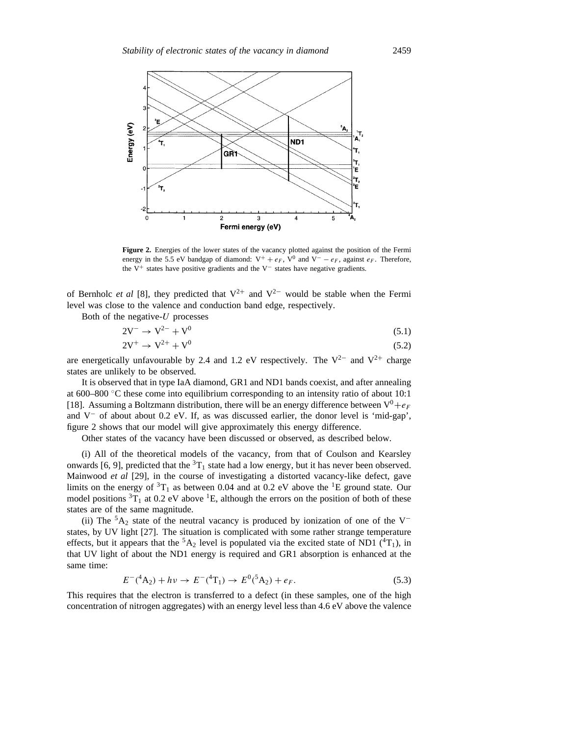

Figure 2. Energies of the lower states of the vacancy plotted against the position of the Fermi energy in the 5.5 eV bandgap of diamond:  $V^+ + e_F$ ,  $V^0$  and  $V^- - e_F$ , against  $e_F$ . Therefore, the V+ states have positive gradients and the V− states have negative gradients.

of Bernholc *et al* [8], they predicted that  $V^{2+}$  and  $V^{2-}$  would be stable when the Fermi level was close to the valence and conduction band edge, respectively.

Both of the negative-*U* processes

$$
2V^- \to V^{2-} + V^0 \tag{5.1}
$$

$$
2V^+ \rightarrow V^{2+} + V^0 \tag{5.2}
$$

are energetically unfavourable by 2.4 and 1.2 eV respectively. The  $V^{2-}$  and  $V^{2+}$  charge states are unlikely to be observed.

It is observed that in type IaA diamond, GR1 and ND1 bands coexist, and after annealing at 600–800 ◦C these come into equilibrium corresponding to an intensity ratio of about 10:1 [18]. Assuming a Boltzmann distribution, there will be an energy difference between  $V^0 + e_F$ and V<sup>−</sup> of about about 0.2 eV. If, as was discussed earlier, the donor level is 'mid-gap', figure 2 shows that our model will give approximately this energy difference.

Other states of the vacancy have been discussed or observed, as described below.

(i) All of the theoretical models of the vacancy, from that of Coulson and Kearsley onwards [6, 9], predicted that the  ${}^{3}T_{1}$  state had a low energy, but it has never been observed. Mainwood *et al* [29], in the course of investigating a distorted vacancy-like defect, gave limits on the energy of  ${}^{3}T_{1}$  as between 0.04 and at 0.2 eV above the  ${}^{1}E$  ground state. Our model positions  ${}^{3}T_{1}$  at 0.2 eV above  ${}^{1}E$ , although the errors on the position of both of these states are of the same magnitude.

(ii) The  $5A_2$  state of the neutral vacancy is produced by ionization of one of the V<sup>−</sup> states, by UV light [27]. The situation is complicated with some rather strange temperature effects, but it appears that the  ${}^5A_2$  level is populated via the excited state of ND1 ( ${}^4T_1$ ), in that UV light of about the ND1 energy is required and GR1 absorption is enhanced at the same time:

$$
E^{-}(^{4}A_{2}) + hv \rightarrow E^{-}(^{4}T_{1}) \rightarrow E^{0}(^{5}A_{2}) + e_{F}.
$$
\n(5.3)

This requires that the electron is transferred to a defect (in these samples, one of the high concentration of nitrogen aggregates) with an energy level less than 4.6 eV above the valence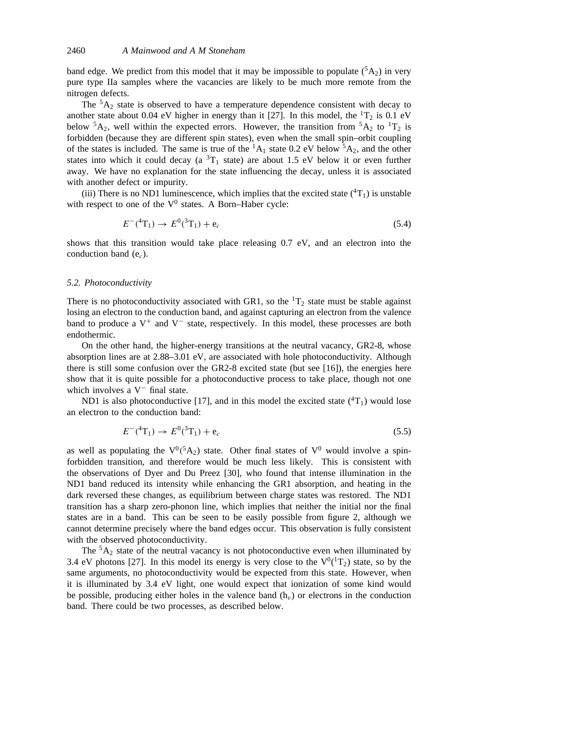band edge. We predict from this model that it may be impossible to populate  $({}^5A_2)$  in very pure type IIa samples where the vacancies are likely to be much more remote from the nitrogen defects.

The  ${}^5A_2$  state is observed to have a temperature dependence consistent with decay to another state about 0.04 eV higher in energy than it [27]. In this model, the  ${}^{1}T_{2}$  is 0.1 eV below  ${}^5A_2$ , well within the expected errors. However, the transition from  ${}^5A_2$  to  ${}^1T_2$  is forbidden (because they are different spin states), even when the small spin–orbit coupling of the states is included. The same is true of the  ${}^{1}A_{1}$  state 0.2 eV below  ${}^{5}A_{2}$ , and the other states into which it could decay (a  ${}^{3}T_{1}$  state) are about 1.5 eV below it or even further away. We have no explanation for the state influencing the decay, unless it is associated with another defect or impurity.

(iii) There is no ND1 luminescence, which implies that the excited state  $({}^{4}T_{1})$  is unstable with respect to one of the  $V^0$  states. A Born–Haber cycle:

$$
E^{-}(^{4}T_{1}) \to E^{0}(^{3}T_{1}) + e_{c}
$$
\n(5.4)

shows that this transition would take place releasing 0.7 eV, and an electron into the conduction band (e*c*).

#### *5.2. Photoconductivity*

There is no photoconductivity associated with GR1, so the  ${}^{1}T_{2}$  state must be stable against losing an electron to the conduction band, and against capturing an electron from the valence band to produce a  $V^+$  and  $V^-$  state, respectively. In this model, these processes are both endothermic.

On the other hand, the higher-energy transitions at the neutral vacancy, GR2-8, whose absorption lines are at 2.88–3.01 eV, are associated with hole photoconductivity. Although there is still some confusion over the GR2-8 excited state (but see [16]), the energies here show that it is quite possible for a photoconductive process to take place, though not one which involves a V<sup>−</sup> final state.

ND1 is also photoconductive [17], and in this model the excited state  $(^{4}T_{1})$  would lose an electron to the conduction band:

$$
E^{-}(^4T_1) \to E^{0}(^3T_1) + e_c \tag{5.5}
$$

as well as populating the  $V^0({}^5A_2)$  state. Other final states of  $V^0$  would involve a spinforbidden transition, and therefore would be much less likely. This is consistent with the observations of Dyer and Du Preez [30], who found that intense illumination in the ND1 band reduced its intensity while enhancing the GR1 absorption, and heating in the dark reversed these changes, as equilibrium between charge states was restored. The ND1 transition has a sharp zero-phonon line, which implies that neither the initial nor the final states are in a band. This can be seen to be easily possible from figure 2, although we cannot determine precisely where the band edges occur. This observation is fully consistent with the observed photoconductivity.

The  ${}^5A_2$  state of the neutral vacancy is not photoconductive even when illuminated by 3.4 eV photons [27]. In this model its energy is very close to the  $V^0(^1T_2)$  state, so by the same arguments, no photoconductivity would be expected from this state. However, when it is illuminated by 3.4 eV light, one would expect that ionization of some kind would be possible, producing either holes in the valence band  $(h<sub>v</sub>)$  or electrons in the conduction band. There could be two processes, as described below.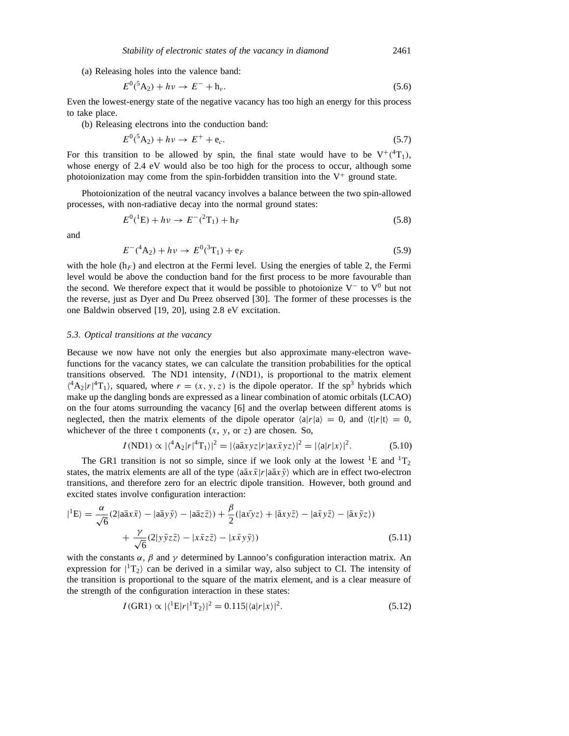(a) Releasing holes into the valence band:

$$
E^{0}({}^{5}A_{2}) + h\nu \to E^{-} + h_{\nu}.
$$
\n(5.6)

Even the lowest-energy state of the negative vacancy has too high an energy for this process to take place.

(b) Releasing electrons into the conduction band:

$$
E^{0}(^{5}A_{2}) + hv \to E^{+} + e_{c}. \tag{5.7}
$$

For this transition to be allowed by spin, the final state would have to be  $V^+(^4T_1)$ , whose energy of 2.4 eV would also be too high for the process to occur, although some photoionization may come from the spin-forbidden transition into the  $V^+$  ground state.

Photoionization of the neutral vacancy involves a balance between the two spin-allowed processes, with non-radiative decay into the normal ground states:

$$
E^{0}({}^{1}\mathrm{E}) + h\nu \to E^{-}({}^{2}\mathrm{T}_{1}) + \mathrm{h}_{F}
$$
\n(5.8)

and

$$
E^{-}(A_{2}) + hv \to E^{0}({}^{3}T_{1}) + e_{F}
$$
\n(5.9)

with the hole  $(h_F)$  and electron at the Fermi level. Using the energies of table 2, the Fermi level would be above the conduction band for the first process to be more favourable than the second. We therefore expect that it would be possible to photoionize  $V^-$  to  $V^0$  but not the reverse, just as Dyer and Du Preez observed [30]. The former of these processes is the one Baldwin observed [19, 20], using 2.8 eV excitation.

#### *5.3. Optical transitions at the vacancy*

Because we now have not only the energies but also approximate many-electron wavefunctions for the vacancy states, we can calculate the transition probabilities for the optical transitions observed. The ND1 intensity,  $I(ND1)$ , is proportional to the matrix element  $\binom{4}{2}r\binom{4}{1}$ , squared, where  $r = (x, y, z)$  is the dipole operator. If the sp<sup>3</sup> hybrids which make up the dangling bonds are expressed as a linear combination of atomic orbitals (LCAO) on the four atoms surrounding the vacancy [6] and the overlap between different atoms is neglected, then the matrix elements of the dipole operator  $\langle a|r|a \rangle = 0$ , and  $\langle t|r|t \rangle = 0$ , whichever of the three t components  $(x, y, \text{ or } z)$  are chosen. So,

$$
I(ND1) \propto |\langle^4 A_2 | r |^4 T_1 \rangle|^2 = |\langle a \bar{a} x y z | r | a x \bar{x} y z \rangle|^2 = |\langle a | r | x \rangle|^2. \tag{5.10}
$$

The GR1 transition is not so simple, since if we look only at the lowest <sup>1</sup>E and <sup>1</sup>T<sub>2</sub> states, the matrix elements are all of the type  $\langle a\bar{a}x\bar{x}|r|a\bar{a}x\bar{y}\rangle$  which are in effect two-electron transitions, and therefore zero for an electric dipole transition. However, both ground and excited states involve configuration interaction:

$$
|{}^{1}E\rangle = \frac{\alpha}{\sqrt{6}}(2|a\bar{a}x\bar{x}\rangle - |a\bar{a}y\bar{y}\rangle - |a\bar{a}z\bar{z}\rangle) + \frac{\beta}{2}(|a\bar{x}yz\rangle + |a\bar{x}y\bar{z}\rangle - |a\bar{x}y\bar{z}\rangle - |a\bar{x}y\bar{z}\rangle) + \frac{\gamma}{\sqrt{6}}(2|y\bar{y}z\bar{z}\rangle - |x\bar{x}z\bar{z}\rangle - |x\bar{x}y\bar{y}\rangle)
$$
(5.11)

with the constants  $\alpha$ ,  $\beta$  and  $\gamma$  determined by Lannoo's configuration interaction matrix. An expression for  $|{}^{1}T_{2}\rangle$  can be derived in a similar way, also subject to CI. The intensity of the transition is proportional to the square of the matrix element, and is a clear measure of the strength of the configuration interaction in these states:

$$
I(GR1) \propto |\langle ^1E|r|^1T_2\rangle|^2 = 0.115|\langle a|r|x\rangle|^2. \tag{5.12}
$$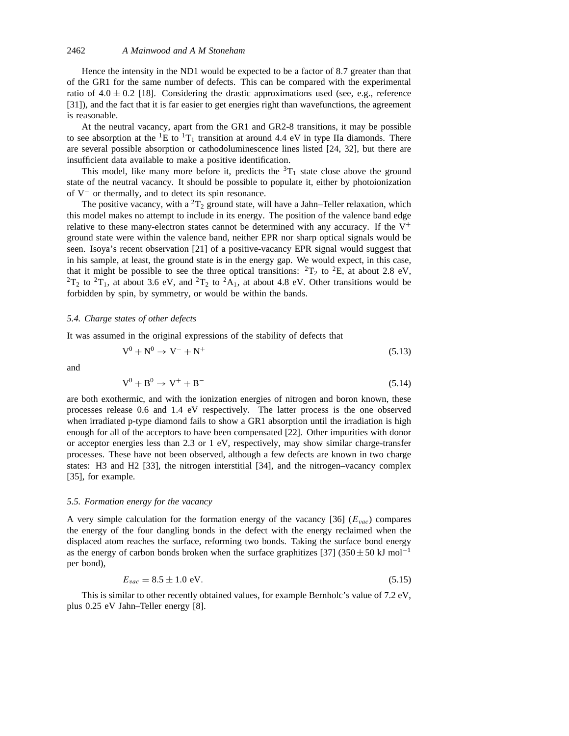Hence the intensity in the ND1 would be expected to be a factor of 8*.*7 greater than that of the GR1 for the same number of defects. This can be compared with the experimental ratio of  $4.0 \pm 0.2$  [18]. Considering the drastic approximations used (see, e.g., reference [31]), and the fact that it is far easier to get energies right than wavefunctions, the agreement is reasonable.

At the neutral vacancy, apart from the GR1 and GR2-8 transitions, it may be possible to see absorption at the <sup>1</sup>E to <sup>1</sup>T<sub>1</sub> transition at around 4.4 eV in type IIa diamonds. There are several possible absorption or cathodoluminescence lines listed [24, 32], but there are insufficient data available to make a positive identification.

This model, like many more before it, predicts the  ${}^{3}T_{1}$  state close above the ground state of the neutral vacancy. It should be possible to populate it, either by photoionization of V<sup>−</sup> or thermally, and to detect its spin resonance.

The positive vacancy, with a  ${}^{2}T_{2}$  ground state, will have a Jahn–Teller relaxation, which this model makes no attempt to include in its energy. The position of the valence band edge relative to these many-electron states cannot be determined with any accuracy. If the  $V^+$ ground state were within the valence band, neither EPR nor sharp optical signals would be seen. Isoya's recent observation [21] of a positive-vacancy EPR signal would suggest that in his sample, at least, the ground state is in the energy gap. We would expect, in this case, that it might be possible to see the three optical transitions:  ${}^{2}T_{2}$  to  ${}^{2}E$ , at about 2.8 eV,  ${}^{2}T_{2}$  to  ${}^{2}T_{1}$ , at about 3.6 eV, and  ${}^{2}T_{2}$  to  ${}^{2}A_{1}$ , at about 4.8 eV. Other transitions would be forbidden by spin, by symmetry, or would be within the bands.

## *5.4. Charge states of other defects*

It was assumed in the original expressions of the stability of defects that

$$
V^0 + N^0 \rightarrow V^- + N^+ \tag{5.13}
$$

and

$$
V^0 + B^0 \rightarrow V^+ + B^- \tag{5.14}
$$

are both exothermic, and with the ionization energies of nitrogen and boron known, these processes release 0.6 and 1.4 eV respectively. The latter process is the one observed when irradiated p-type diamond fails to show a GR1 absorption until the irradiation is high enough for all of the acceptors to have been compensated [22]. Other impurities with donor or acceptor energies less than 2.3 or 1 eV, respectively, may show similar charge-transfer processes. These have not been observed, although a few defects are known in two charge states: H3 and H2 [33], the nitrogen interstitial [34], and the nitrogen–vacancy complex [35], for example.

## *5.5. Formation energy for the vacancy*

A very simple calculation for the formation energy of the vacancy [36] (*Evac*) compares the energy of the four dangling bonds in the defect with the energy reclaimed when the displaced atom reaches the surface, reforming two bonds. Taking the surface bond energy as the energy of carbon bonds broken when the surface graphitizes [37] (350 $\pm$  50 kJ mol<sup>-1</sup> per bond),

$$
E_{vac} = 8.5 \pm 1.0 \text{ eV}.\tag{5.15}
$$

This is similar to other recently obtained values, for example Bernholc's value of 7.2 eV, plus 0.25 eV Jahn–Teller energy [8].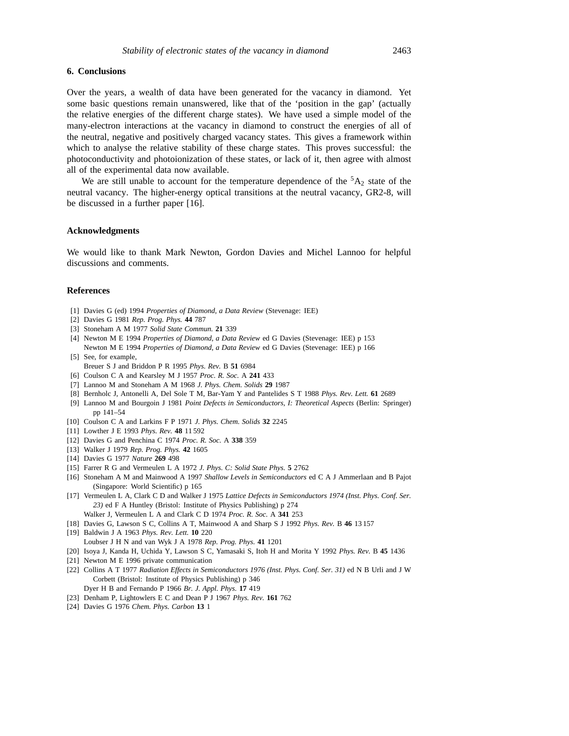# **6. Conclusions**

Over the years, a wealth of data have been generated for the vacancy in diamond. Yet some basic questions remain unanswered, like that of the 'position in the gap' (actually the relative energies of the different charge states). We have used a simple model of the many-electron interactions at the vacancy in diamond to construct the energies of all of the neutral, negative and positively charged vacancy states. This gives a framework within which to analyse the relative stability of these charge states. This proves successful: the photoconductivity and photoionization of these states, or lack of it, then agree with almost all of the experimental data now available.

We are still unable to account for the temperature dependence of the  ${}^5A_2$  state of the neutral vacancy. The higher-energy optical transitions at the neutral vacancy, GR2-8, will be discussed in a further paper [16].

### **Acknowledgments**

We would like to thank Mark Newton, Gordon Davies and Michel Lannoo for helpful discussions and comments.

# **References**

- [1] Davies G (ed) 1994 *Properties of Diamond, a Data Review* (Stevenage: IEE)
- [2] Davies G 1981 *Rep. Prog. Phys.* **44** 787
- [3] Stoneham A M 1977 *Solid State Commun.* **21** 339
- [4] Newton M E 1994 *Properties of Diamond, a Data Review* ed G Davies (Stevenage: IEE) p 153 Newton M E 1994 *Properties of Diamond, a Data Review* ed G Davies (Stevenage: IEE) p 166
- [5] See, for example, Breuer S J and Briddon P R 1995 *Phys. Rev.* B **51** 6984
- [6] Coulson C A and Kearsley M J 1957 *Proc. R. Soc.* A **241** 433
- [7] Lannoo M and Stoneham A M 1968 *J. Phys. Chem. Solids* **29** 1987
- [8] Bernholc J, Antonelli A, Del Sole T M, Bar-Yam Y and Pantelides S T 1988 *Phys. Rev. Lett.* **61** 2689
- [9] Lannoo M and Bourgoin J 1981 *Point Defects in Semiconductors, I: Theoretical Aspects* (Berlin: Springer) pp 141–54
- [10] Coulson C A and Larkins F P 1971 *J. Phys. Chem. Solids* **32** 2245
- [11] Lowther J E 1993 *Phys. Rev.* **48** 11 592
- [12] Davies G and Penchina C 1974 *Proc. R. Soc.* A **338** 359
- [13] Walker J 1979 *Rep. Prog. Phys.* **42** 1605
- [14] Davies G 1977 *Nature* **269** 498
- [15] Farrer R G and Vermeulen L A 1972 *J. Phys. C: Solid State Phys.* **5** 2762
- [16] Stoneham A M and Mainwood A 1997 *Shallow Levels in Semiconductors* ed C A J Ammerlaan and B Pajot (Singapore: World Scientific) p 165
- [17] Vermeulen L A, Clark C D and Walker J 1975 *Lattice Defects in Semiconductors 1974 (Inst. Phys. Conf. Ser. 23)* ed F A Huntley (Bristol: Institute of Physics Publishing) p 274 Walker J, Vermeulen L A and Clark C D 1974 *Proc. R. Soc.* A **341** 253
- [18] Davies G, Lawson S C, Collins A T, Mainwood A and Sharp S J 1992 *Phys. Rev.* B **46** 13 157
- [19] Baldwin J A 1963 *Phys. Rev. Lett.* **10** 220 Loubser J H N and van Wyk J A 1978 *Rep. Prog. Phys.* **41** 1201
- [20] Isoya J, Kanda H, Uchida Y, Lawson S C, Yamasaki S, Itoh H and Morita Y 1992 *Phys. Rev.* B **45** 1436
- [21] Newton M E 1996 private communication
- [22] Collins A T 1977 *Radiation Effects in Semiconductors 1976 (Inst. Phys. Conf. Ser. 31)* ed N B Urli and J W Corbett (Bristol: Institute of Physics Publishing) p 346 Dyer H B and Fernando P 1966 *Br. J. Appl. Phys.* **17** 419
- [23] Denham P, Lightowlers E C and Dean P J 1967 *Phys. Rev.* **161** 762
- [24] Davies G 1976 *Chem. Phys. Carbon* **13** 1